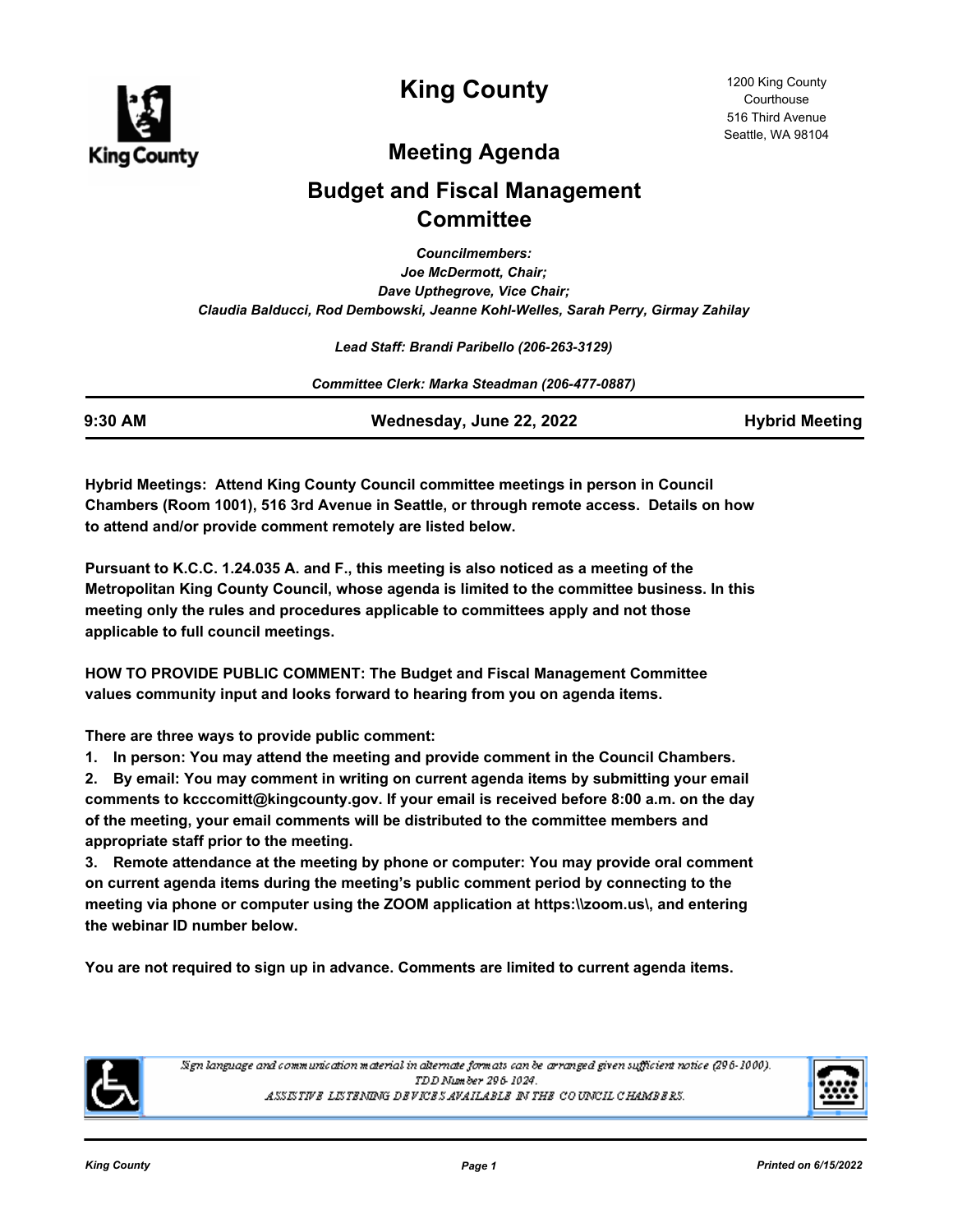

# **King County**

# **Meeting Agenda**

# **Budget and Fiscal Management Committee**

*Councilmembers: Joe McDermott, Chair; Dave Upthegrove, Vice Chair; Claudia Balducci, Rod Dembowski, Jeanne Kohl-Welles, Sarah Perry, Girmay Zahilay*

*Lead Staff: Brandi Paribello (206-263-3129)*

*Committee Clerk: Marka Steadman (206-477-0887)*

**9:30 AM Wednesday, June 22, 2022 Hybrid Meeting**

**Hybrid Meetings: Attend King County Council committee meetings in person in Council Chambers (Room 1001), 516 3rd Avenue in Seattle, or through remote access. Details on how to attend and/or provide comment remotely are listed below.**

**Pursuant to K.C.C. 1.24.035 A. and F., this meeting is also noticed as a meeting of the Metropolitan King County Council, whose agenda is limited to the committee business. In this meeting only the rules and procedures applicable to committees apply and not those applicable to full council meetings.**

**HOW TO PROVIDE PUBLIC COMMENT: The Budget and Fiscal Management Committee values community input and looks forward to hearing from you on agenda items.**

**There are three ways to provide public comment:**

**1. In person: You may attend the meeting and provide comment in the Council Chambers.**

**2. By email: You may comment in writing on current agenda items by submitting your email comments to kcccomitt@kingcounty.gov. If your email is received before 8:00 a.m. on the day of the meeting, your email comments will be distributed to the committee members and appropriate staff prior to the meeting.** 

**3. Remote attendance at the meeting by phone or computer: You may provide oral comment on current agenda items during the meeting's public comment period by connecting to the meeting via phone or computer using the ZOOM application at https:\\zoom.us\, and entering the webinar ID number below.** 

**You are not required to sign up in advance. Comments are limited to current agenda items.**



Sign language and communication material in alternate formats can be arranged given sufficient notice (296-1000). TDD Number 296-1024. ASSISTIVE LISTENING DEVICES AVAILABLE IN THE COUNCIL CHAMBERS.

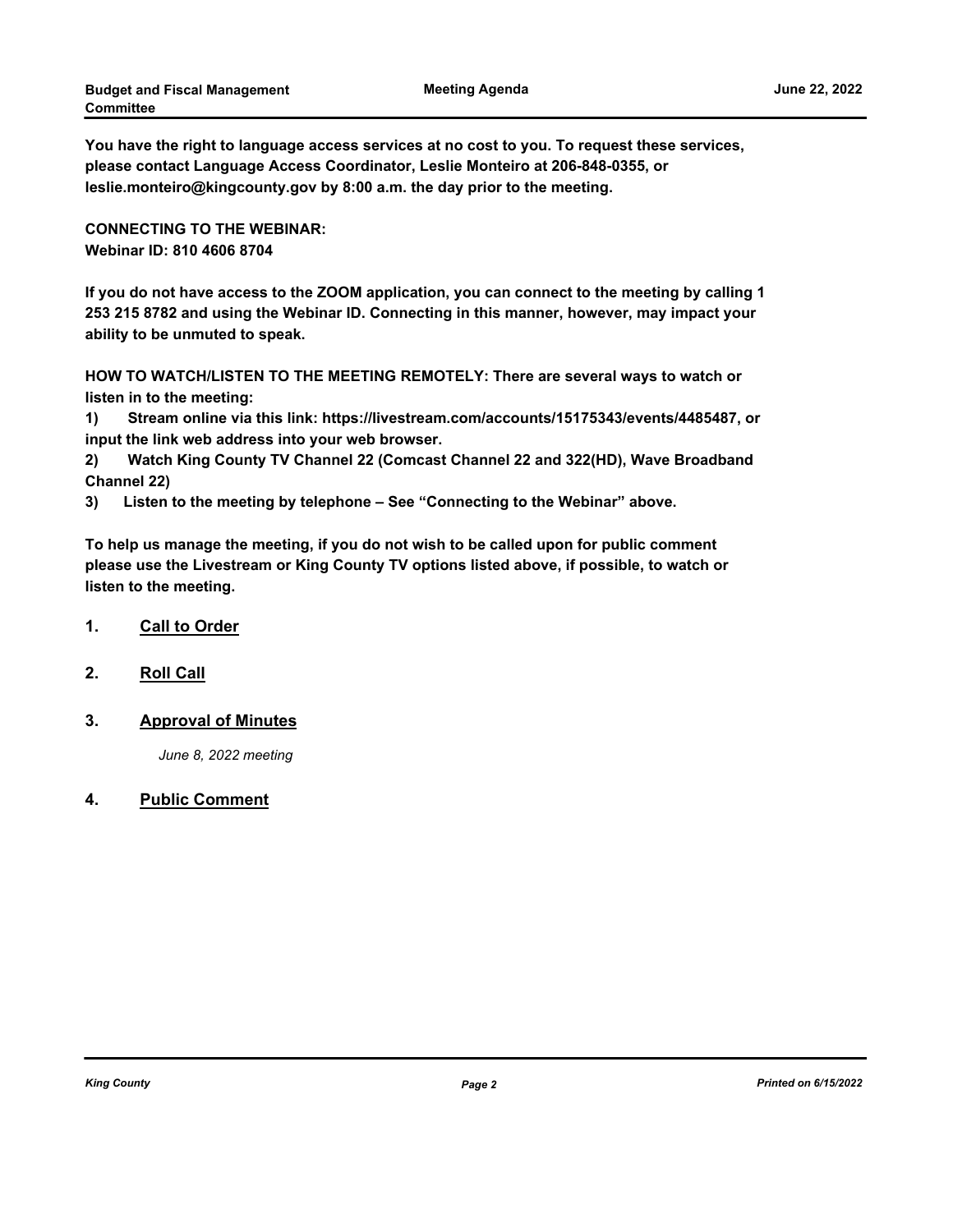**You have the right to language access services at no cost to you. To request these services, please contact Language Access Coordinator, Leslie Monteiro at 206-848-0355, or leslie.monteiro@kingcounty.gov by 8:00 a.m. the day prior to the meeting.**

**CONNECTING TO THE WEBINAR: Webinar ID: 810 4606 8704**

**If you do not have access to the ZOOM application, you can connect to the meeting by calling 1 253 215 8782 and using the Webinar ID. Connecting in this manner, however, may impact your ability to be unmuted to speak.** 

**HOW TO WATCH/LISTEN TO THE MEETING REMOTELY: There are several ways to watch or listen in to the meeting:**

**1) Stream online via this link: https://livestream.com/accounts/15175343/events/4485487, or input the link web address into your web browser.**

**2) Watch King County TV Channel 22 (Comcast Channel 22 and 322(HD), Wave Broadband Channel 22)**

**3) Listen to the meeting by telephone – See "Connecting to the Webinar" above.**

**To help us manage the meeting, if you do not wish to be called upon for public comment please use the Livestream or King County TV options listed above, if possible, to watch or listen to the meeting.**

### **1. Call to Order**

**2. Roll Call**

### **3. Approval of Minutes**

*June 8, 2022 meeting*

#### **4. Public Comment**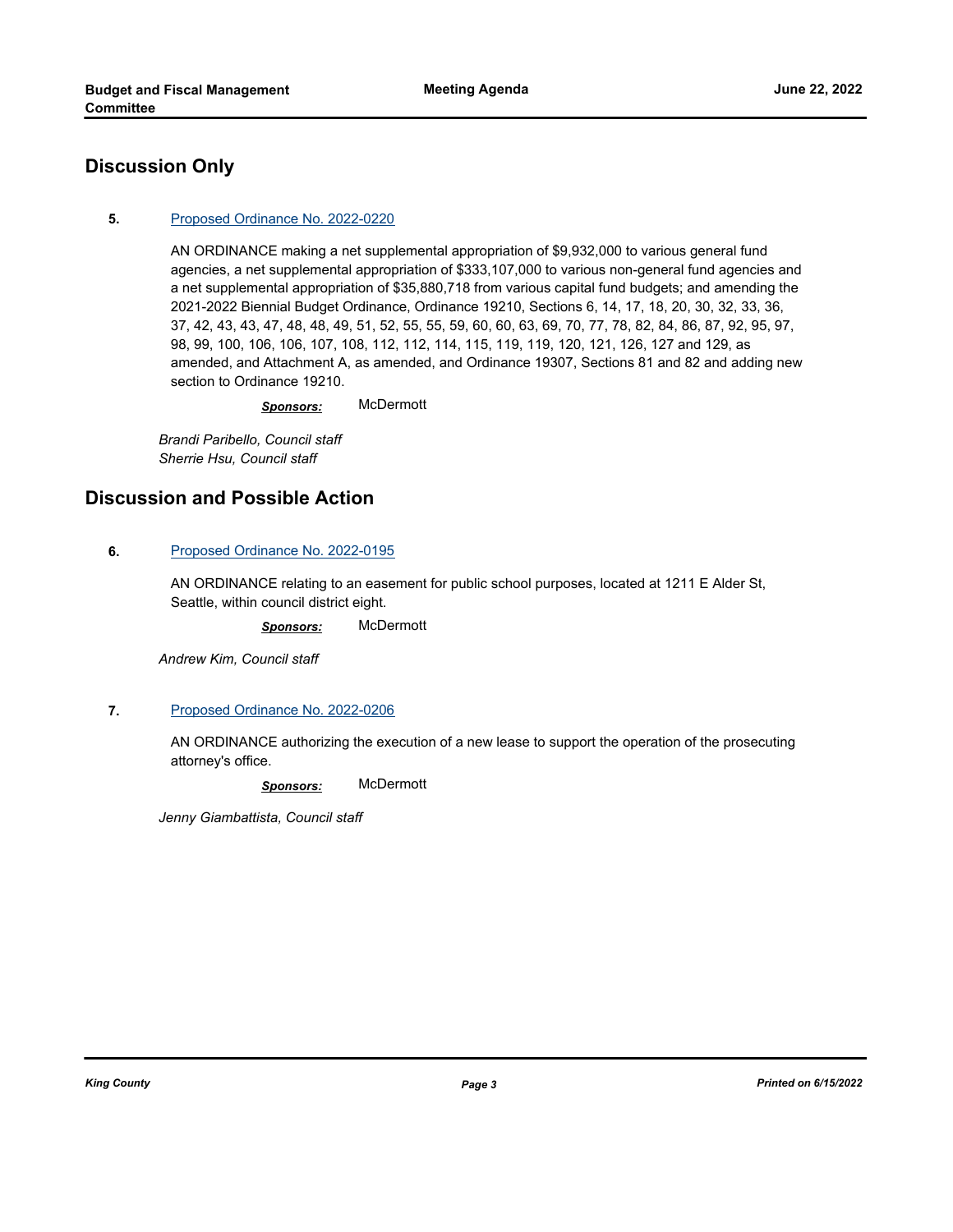## **Discussion Only**

#### **5.** [Proposed Ordinance No. 2022-0220](http://kingcounty.legistar.com/gateway.aspx?m=l&id=/matter.aspx?key=23168)

AN ORDINANCE making a net supplemental appropriation of \$9,932,000 to various general fund agencies, a net supplemental appropriation of \$333,107,000 to various non-general fund agencies and a net supplemental appropriation of \$35,880,718 from various capital fund budgets; and amending the 2021-2022 Biennial Budget Ordinance, Ordinance 19210, Sections 6, 14, 17, 18, 20, 30, 32, 33, 36, 37, 42, 43, 43, 47, 48, 48, 49, 51, 52, 55, 55, 59, 60, 60, 63, 69, 70, 77, 78, 82, 84, 86, 87, 92, 95, 97, 98, 99, 100, 106, 106, 107, 108, 112, 112, 114, 115, 119, 119, 120, 121, 126, 127 and 129, as amended, and Attachment A, as amended, and Ordinance 19307, Sections 81 and 82 and adding new section to Ordinance 19210.

*Sponsors:* McDermott

*Brandi Paribello, Council staff Sherrie Hsu, Council staff*

## **Discussion and Possible Action**

#### **6.** [Proposed Ordinance No. 2022-0195](http://kingcounty.legistar.com/gateway.aspx?m=l&id=/matter.aspx?key=23115)

AN ORDINANCE relating to an easement for public school purposes, located at 1211 E Alder St, Seattle, within council district eight.

*Sponsors:* McDermott

*Andrew Kim, Council staff*

#### **7.** [Proposed Ordinance No. 2022-0206](http://kingcounty.legistar.com/gateway.aspx?m=l&id=/matter.aspx?key=23145)

AN ORDINANCE authorizing the execution of a new lease to support the operation of the prosecuting attorney's office.

*Sponsors:* McDermott

*Jenny Giambattista, Council staff*